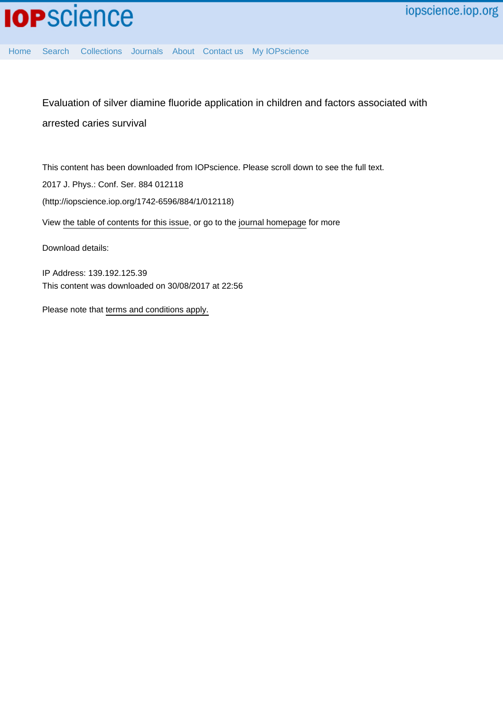Evaluation of silver diamine fluoride application in children and factors associated with arrested caries survival

This content has been downloaded from IOPscience. Please scroll down to see the full text. Download details: IP Address: 139.192.125.39 View [the table of contents for this issue](http://iopscience.iop.org/1742-6596/884/1), or go to the [journal homepage](http://iopscience.iop.org/1742-6596) for more 2017 J. Phys.: Conf. Ser. 884 012118 (http://iopscience.iop.org/1742-6596/884/1/012118)

This content was downloaded on 30/08/2017 at 22:56

Please note that [terms and conditions apply.](http://iopscience.iop.org/page/terms)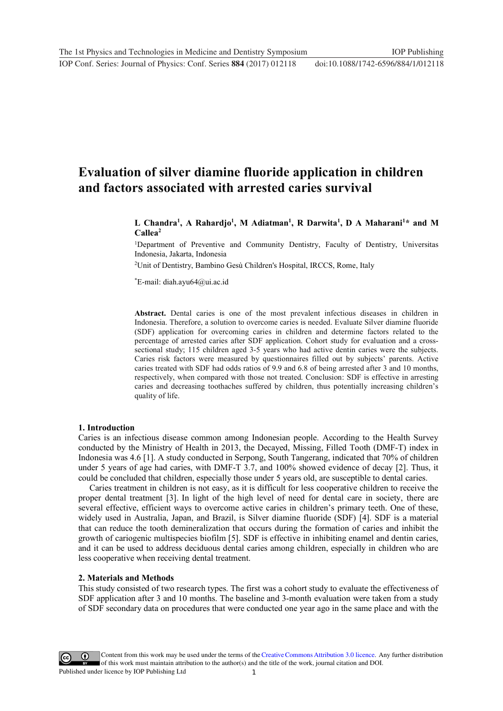# Evaluation of silver diamine fluoride application in children and factors associated with arrested caries survival

L Chandra<sup>1</sup>, A Rahardjo<sup>1</sup>, M Adiatman<sup>1</sup>, R Darwita<sup>1</sup>, D A Maharani<sup>1\*</sup> and M Callea2

<sup>1</sup>Department of Preventive and Community Dentistry, Faculty of Dentistry, Universitas Indonesia, Jakarta, Indonesia

2 Unit of Dentistry, Bambino Gesù Children's Hospital, IRCCS, Rome, Italy

\* E-mail: diah.ayu64@ui.ac.id

Abstract. Dental caries is one of the most prevalent infectious diseases in children in Indonesia. Therefore, a solution to overcome caries is needed. Evaluate Silver diamine fluoride (SDF) application for overcoming caries in children and determine factors related to the percentage of arrested caries after SDF application. Cohort study for evaluation and a crosssectional study; 115 children aged 3-5 years who had active dentin caries were the subjects. Caries risk factors were measured by questionnaires filled out by subjects' parents. Active caries treated with SDF had odds ratios of 9.9 and 6.8 of being arrested after 3 and 10 months, respectively, when compared with those not treated. Conclusion: SDF is effective in arresting caries and decreasing toothaches suffered by children, thus potentially increasing children's quality of life.

#### 1. Introduction

Caries is an infectious disease common among Indonesian people. According to the Health Survey conducted by the Ministry of Health in 2013, the Decayed, Missing, Filled Tooth (DMF-T) index in Indonesia was 4.6 [1]. A study conducted in Serpong, South Tangerang, indicated that 70% of children under 5 years of age had caries, with DMF-T 3.7, and 100% showed evidence of decay [2]. Thus, it could be concluded that children, especially those under 5 years old, are susceptible to dental caries.

Caries treatment in children is not easy, as it is difficult for less cooperative children to receive the proper dental treatment [3]. In light of the high level of need for dental care in society, there are several effective, efficient ways to overcome active caries in children's primary teeth. One of these, widely used in Australia, Japan, and Brazil, is Silver diamine fluoride (SDF) [4]. SDF is a material that can reduce the tooth demineralization that occurs during the formation of caries and inhibit the growth of cariogenic multispecies biofilm [5]. SDF is effective in inhibiting enamel and dentin caries, and it can be used to address deciduous dental caries among children, especially in children who are less cooperative when receiving dental treatment.

### 2. Materials and Methods

This study consisted of two research types. The first was a cohort study to evaluate the effectiveness of SDF application after 3 and 10 months. The baseline and 3-month evaluation were taken from a study of SDF secondary data on procedures that were conducted one year ago in the same place and with the

1 Content from this work may be used under the terms of the[Creative Commons Attribution 3.0 licence.](http://creativecommons.org/licenses/by/3.0) Any further distribution of this work must maintain attribution to the author(s) and the title of the work, journal citation and DOI. Published under licence by IOP Publishing Ltd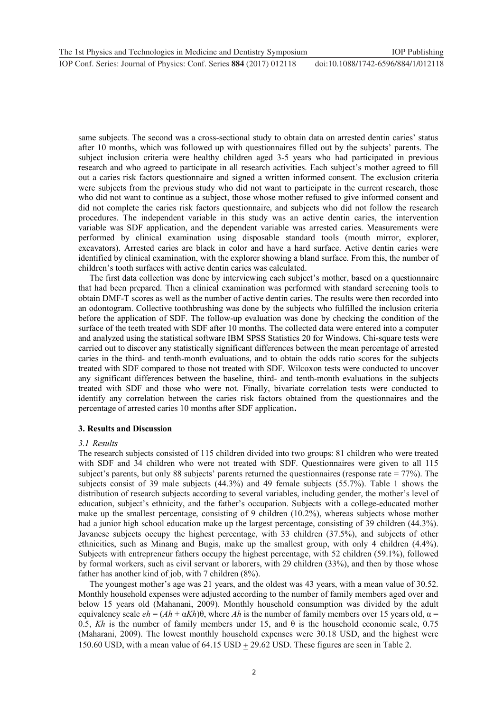same subjects. The second was a cross-sectional study to obtain data on arrested dentin caries' status after 10 months, which was followed up with questionnaires filled out by the subjects' parents. The subject inclusion criteria were healthy children aged 3-5 years who had participated in previous research and who agreed to participate in all research activities. Each subject's mother agreed to fill out a caries risk factors questionnaire and signed a written informed consent. The exclusion criteria were subjects from the previous study who did not want to participate in the current research, those who did not want to continue as a subject, those whose mother refused to give informed consent and did not complete the caries risk factors questionnaire, and subjects who did not follow the research procedures. The independent variable in this study was an active dentin caries, the intervention variable was SDF application, and the dependent variable was arrested caries. Measurements were performed by clinical examination using disposable standard tools (mouth mirror, explorer, excavators). Arrested caries are black in color and have a hard surface. Active dentin caries were identified by clinical examination, with the explorer showing a bland surface. From this, the number of children's tooth surfaces with active dentin caries was calculated.

The first data collection was done by interviewing each subject's mother, based on a questionnaire that had been prepared. Then a clinical examination was performed with standard screening tools to obtain DMF-T scores as well as the number of active dentin caries. The results were then recorded into an odontogram. Collective toothbrushing was done by the subjects who fulfilled the inclusion criteria before the application of SDF. The follow-up evaluation was done by checking the condition of the surface of the teeth treated with SDF after 10 months. The collected data were entered into a computer and analyzed using the statistical software IBM SPSS Statistics 20 for Windows. Chi-square tests were carried out to discover any statistically significant differences between the mean percentage of arrested caries in the third- and tenth-month evaluations, and to obtain the odds ratio scores for the subjects treated with SDF compared to those not treated with SDF. Wilcoxon tests were conducted to uncover any significant differences between the baseline, third- and tenth-month evaluations in the subjects treated with SDF and those who were not. Finally, bivariate correlation tests were conducted to identify any correlation between the caries risk factors obtained from the questionnaires and the percentage of arrested caries 10 months after SDF application.

## 3. Results and Discussion

#### *3.1 Results*

The research subjects consisted of 115 children divided into two groups: 81 children who were treated with SDF and 34 children who were not treated with SDF. Questionnaires were given to all 115 subject's parents, but only 88 subjects' parents returned the questionnaires (response rate = 77%). The subjects consist of 39 male subjects (44.3%) and 49 female subjects (55.7%). Table 1 shows the distribution of research subjects according to several variables, including gender, the mother's level of education, subject's ethnicity, and the father's occupation. Subjects with a college-educated mother make up the smallest percentage, consisting of 9 children (10.2%), whereas subjects whose mother had a junior high school education make up the largest percentage, consisting of 39 children (44.3%). Javanese subjects occupy the highest percentage, with 33 children (37.5%), and subjects of other ethnicities, such as Minang and Bugis, make up the smallest group, with only 4 children (4.4%). Subjects with entrepreneur fathers occupy the highest percentage, with 52 children (59.1%), followed by formal workers, such as civil servant or laborers, with 29 children (33%), and then by those whose father has another kind of job, with 7 children (8%).

The youngest mother's age was 21 years, and the oldest was 43 years, with a mean value of 30.52. Monthly household expenses were adjusted according to the number of family members aged over and below 15 years old (Mahanani, 2009). Monthly household consumption was divided by the adult equivalency scale  $eh = (Ah + \alpha Kh)\theta$ , where *Ah* is the number of family members over 15 years old, α = 0.5, *Kh* is the number of family members under 15, and  $\theta$  is the household economic scale, 0.75 (Maharani, 2009). The lowest monthly household expenses were 30.18 USD, and the highest were 150.60 USD, with a mean value of  $64.15$  USD  $+29.62$  USD. These figures are seen in Table 2.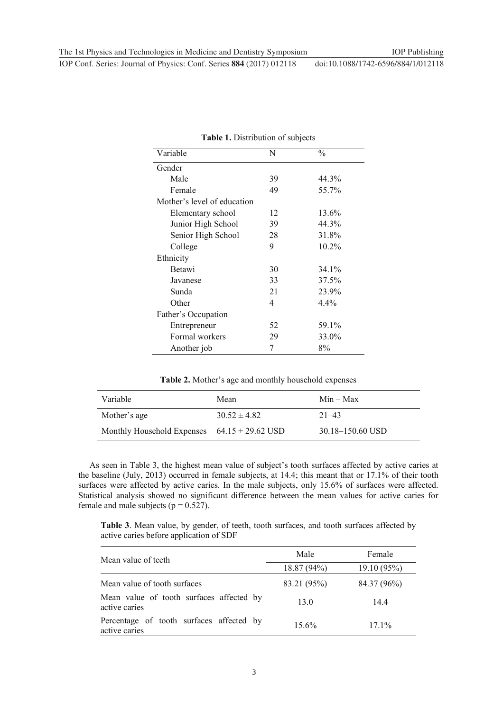| Variable                    | N  | $\frac{0}{0}$ |
|-----------------------------|----|---------------|
| Gender                      |    |               |
| Male                        | 39 | 44.3%         |
| Female                      | 49 | 55.7%         |
| Mother's level of education |    |               |
| Elementary school           | 12 | 13.6%         |
| Junior High School          | 39 | 44.3%         |
| Senior High School          | 28 | 31.8%         |
| College                     | 9  | 10.2%         |
| Ethnicity                   |    |               |
| <b>Betawi</b>               | 30 | 34.1%         |
| Javanese                    | 33 | 37.5%         |
| Sunda                       | 21 | 23.9%         |
| Other                       | 4  | $4.4\%$       |
| Father's Occupation         |    |               |
| Entrepreneur                | 52 | 59.1%         |
| Formal workers              | 29 | 33.0%         |
| Another job                 | 7  | 8%            |

Table 1. Distribution of subjects

Table 2. Mother's age and monthly household expenses

| Variable                                         | Mean             | $Min - Max$          |
|--------------------------------------------------|------------------|----------------------|
| Mother's age                                     | $30.52 \pm 4.82$ | $21 - 43$            |
| Monthly Household Expenses $64.15 \pm 29.62$ USD |                  | $30.18 - 150.60$ USD |

As seen in Table 3, the highest mean value of subject's tooth surfaces affected by active caries at the baseline (July, 2013) occurred in female subjects, at 14.4; this meant that or 17.1% of their tooth surfaces were affected by active caries. In the male subjects, only 15.6% of surfaces were affected. Statistical analysis showed no significant difference between the mean values for active caries for female and male subjects ( $p = 0.527$ ).

Table 3. Mean value, by gender, of teeth, tooth surfaces, and tooth surfaces affected by active caries before application of SDF

| Mean value of teeth                                       | Male        | Female      |  |
|-----------------------------------------------------------|-------------|-------------|--|
|                                                           | 18.87 (94%) | 19.10 (95%) |  |
| Mean value of tooth surfaces                              | 83.21 (95%) | 84.37 (96%) |  |
| Mean value of tooth surfaces affected by<br>active caries | 13.0        | 14.4        |  |
| Percentage of tooth surfaces affected by<br>active caries | $15.6\%$    | $17.1\%$    |  |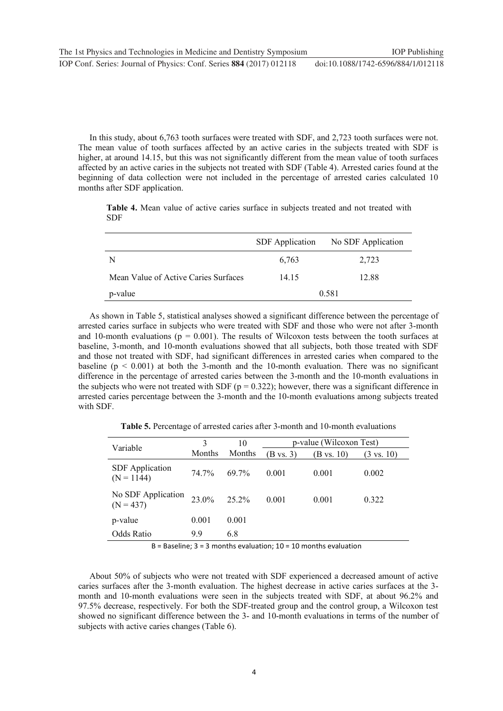In this study, about 6,763 tooth surfaces were treated with SDF, and 2,723 tooth surfaces were not. The mean value of tooth surfaces affected by an active caries in the subjects treated with SDF is

higher, at around 14.15, but this was not significantly different from the mean value of tooth surfaces affected by an active caries in the subjects not treated with SDF (Table 4). Arrested caries found at the beginning of data collection were not included in the percentage of arrested caries calculated 10 months after SDF application.

Table 4. Mean value of active caries surface in subjects treated and not treated with SDF

|                                      | <b>SDF</b> Application | No SDF Application |  |
|--------------------------------------|------------------------|--------------------|--|
| N                                    | 6,763                  | 2,723              |  |
| Mean Value of Active Caries Surfaces | 14.15                  | 12.88              |  |
| p-value                              | 0.581                  |                    |  |
|                                      |                        |                    |  |

As shown in Table 5, statistical analyses showed a significant difference between the percentage of arrested caries surface in subjects who were treated with SDF and those who were not after 3-month and 10-month evaluations ( $p = 0.001$ ). The results of Wilcoxon tests between the tooth surfaces at baseline, 3-month, and 10-month evaluations showed that all subjects, both those treated with SDF and those not treated with SDF, had significant differences in arrested caries when compared to the baseline ( $p < 0.001$ ) at both the 3-month and the 10-month evaluation. There was no significant difference in the percentage of arrested caries between the 3-month and the 10-month evaluations in the subjects who were not treated with SDF ( $p = 0.322$ ); however, there was a significant difference in arrested caries percentage between the 3-month and the 10-month evaluations among subjects treated with SDF.

Table 5. Percentage of arrested caries after 3-month and 10-month evaluations

| Variable                               | 3      | p-value (Wilcoxon Test)<br>10 |           |            |                       |
|----------------------------------------|--------|-------------------------------|-----------|------------|-----------------------|
|                                        | Months | Months                        | (B vs. 3) | (B vs. 10) | $(3 \text{ vs. } 10)$ |
| <b>SDF</b> Application<br>$(N = 1144)$ | 74.7%  | 69.7%                         | 0.001     | 0.001      | 0.002                 |
| No SDF Application<br>$(N = 437)$      | 23.0%  | 25.2%                         | 0.001     | 0.001      | 0.322                 |
| p-value                                | 0.001  | 0.001                         |           |            |                       |
| Odds Ratio                             | 9.9    | 6.8                           |           |            |                       |

 $B =$  Baseline: 3 = 3 months evaluation:  $10 = 10$  months evaluation

About 50% of subjects who were not treated with SDF experienced a decreased amount of active caries surfaces after the 3-month evaluation. The highest decrease in active caries surfaces at the 3 month and 10-month evaluations were seen in the subjects treated with SDF, at about 96.2% and 97.5% decrease, respectively. For both the SDF-treated group and the control group, a Wilcoxon test showed no significant difference between the 3- and 10-month evaluations in terms of the number of subjects with active caries changes (Table 6).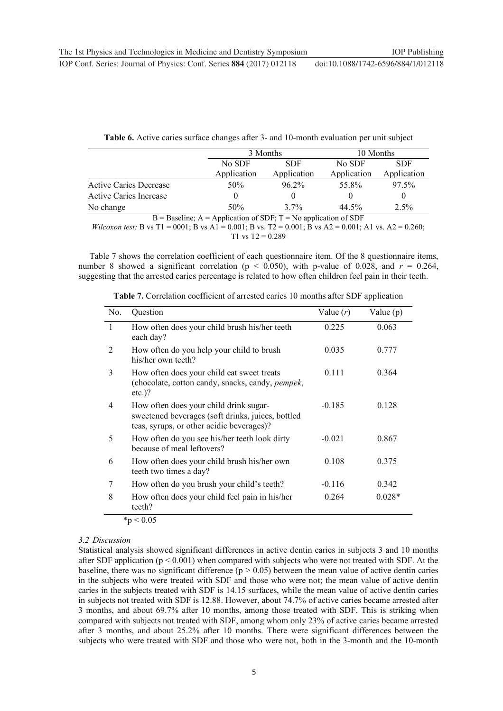**1234567890** IOP Conf. Series: Journal of Physics: Conf. Series **884** (2017) 012118 doi :10.1088/1742-6596/884/1/012118

|                               |                       | 3 Months                  |                       | 10 Months                 |  |
|-------------------------------|-----------------------|---------------------------|-----------------------|---------------------------|--|
|                               | No SDF<br>Application | <b>SDF</b><br>Application | No SDF<br>Application | <b>SDF</b><br>Application |  |
| <b>Active Caries Decrease</b> | 50%                   | $96.2\%$                  | 55.8%                 | 97.5%                     |  |
| <b>Active Caries Increase</b> |                       |                           |                       |                           |  |
| No change                     | 50%                   | $3.7\%$                   | 44.5%                 | $2.5\%$                   |  |
| $\cdots$<br>$\sim$ $\sim$     | .                     | 22222<br>$-$              | 225                   |                           |  |

Table 6. Active caries surface changes after 3- and 10-month evaluation per unit subject

 $B =$  Baseline; A = Application of SDF; T = No application of SDF *Wilcoxon test:* B vs  $T1 = 0001$ ; B vs  $A1 = 0.001$ ; B vs.  $T2 = 0.001$ ; B vs  $A2 = 0.001$ ; A1 vs.  $A2 = 0.260$ ; T1 vs  $T2 = 0.289$ 

Table 7 shows the correlation coefficient of each questionnaire item. Of the 8 questionnaire items, number 8 showed a significant correlation ( $p < 0.050$ ), with p-value of 0.028, and  $r = 0.264$ , suggesting that the arrested caries percentage is related to how often children feel pain in their teeth.

| No. | Question                                                                                                                                 | Value $(r)$ | Value $(p)$ |
|-----|------------------------------------------------------------------------------------------------------------------------------------------|-------------|-------------|
| -1  | How often does your child brush his/her teeth<br>each day?                                                                               | 0.225       | 0.063       |
| 2   | How often do you help your child to brush<br>his/her own teeth?                                                                          | 0.035       | 0.777       |
| 3   | How often does your child eat sweet treats<br>(chocolate, cotton candy, snacks, candy, pempek,<br>$etc.$ )?                              | 0.111       | 0.364       |
| 4   | How often does your child drink sugar-<br>sweetened beverages (soft drinks, juices, bottled<br>teas, syrups, or other acidic beverages)? | $-0.185$    | 0.128       |
| 5   | How often do you see his/her teeth look dirty<br>because of meal leftovers?                                                              | $-0.021$    | 0.867       |
| 6   | How often does your child brush his/her own<br>teeth two times a day?                                                                    | 0.108       | 0.375       |
| 7   | How often do you brush your child's teeth?                                                                                               | $-0.116$    | 0.342       |
| 8   | How often does your child feel pain in his/her<br>teeth?                                                                                 | 0.264       | $0.028*$    |

Table 7. Correlation coefficient of arrested caries 10 months after SDF application

 $*_{p} < 0.05$ 

# *3.2 Discussion*

Statistical analysis showed significant differences in active dentin caries in subjects 3 and 10 months after SDF application ( $p < 0.001$ ) when compared with subjects who were not treated with SDF. At the baseline, there was no significant difference ( $p > 0.05$ ) between the mean value of active dentin caries in the subjects who were treated with SDF and those who were not; the mean value of active dentin caries in the subjects treated with SDF is 14.15 surfaces, while the mean value of active dentin caries in subjects not treated with SDF is 12.88. However, about 74.7% of active caries became arrested after 3 months, and about 69.7% after 10 months, among those treated with SDF. This is striking when compared with subjects not treated with SDF, among whom only 23% of active caries became arrested after 3 months, and about 25.2% after 10 months. There were significant differences between the subjects who were treated with SDF and those who were not, both in the 3-month and the 10-month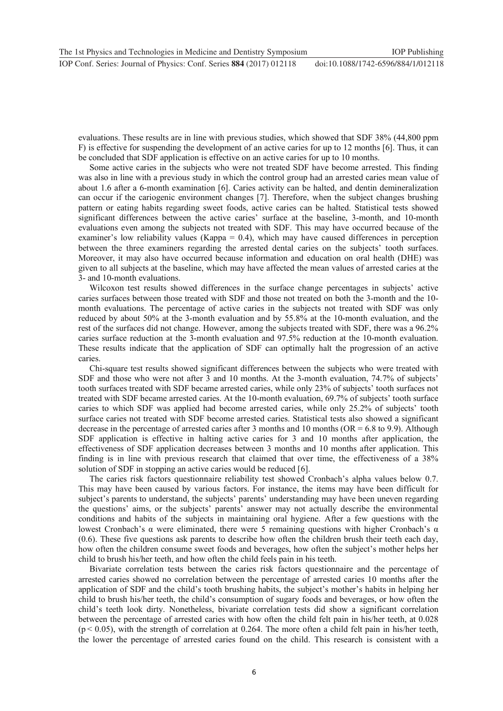evaluations. These results are in line with previous studies, which showed that SDF 38% (44,800 ppm F) is effective for suspending the development of an active caries for up to 12 months [6]. Thus, it can be concluded that SDF application is effective on an active caries for up to 10 months.

Some active caries in the subjects who were not treated SDF have become arrested. This finding was also in line with a previous study in which the control group had an arrested caries mean value of about 1.6 after a 6-month examination [6]. Caries activity can be halted, and dentin demineralization can occur if the cariogenic environment changes [7]. Therefore, when the subject changes brushing pattern or eating habits regarding sweet foods, active caries can be halted. Statistical tests showed significant differences between the active caries' surface at the baseline, 3-month, and 10-month evaluations even among the subjects not treated with SDF. This may have occurred because of the examiner's low reliability values (Kappa = 0.4), which may have caused differences in perception between the three examiners regarding the arrested dental caries on the subjects' tooth surfaces. Moreover, it may also have occurred because information and education on oral health (DHE) was given to all subjects at the baseline, which may have affected the mean values of arrested caries at the 3- and 10-month evaluations.

Wilcoxon test results showed differences in the surface change percentages in subjects' active caries surfaces between those treated with SDF and those not treated on both the 3-month and the 10 month evaluations. The percentage of active caries in the subjects not treated with SDF was only reduced by about 50% at the 3-month evaluation and by 55.8% at the 10-month evaluation, and the rest of the surfaces did not change. However, among the subjects treated with SDF, there was a 96.2% caries surface reduction at the 3-month evaluation and 97.5% reduction at the 10-month evaluation. These results indicate that the application of SDF can optimally halt the progression of an active caries.

Chi-square test results showed significant differences between the subjects who were treated with SDF and those who were not after 3 and 10 months. At the 3-month evaluation, 74.7% of subjects' tooth surfaces treated with SDF became arrested caries, while only 23% of subjects' tooth surfaces not treated with SDF became arrested caries. At the 10-month evaluation, 69.7% of subjects' tooth surface caries to which SDF was applied had become arrested caries, while only 25.2% of subjects' tooth surface caries not treated with SDF become arrested caries. Statistical tests also showed a significant decrease in the percentage of arrested caries after 3 months and 10 months ( $OR = 6.8$  to 9.9). Although SDF application is effective in halting active caries for 3 and 10 months after application, the effectiveness of SDF application decreases between 3 months and 10 months after application. This finding is in line with previous research that claimed that over time, the effectiveness of a 38% solution of SDF in stopping an active caries would be reduced [6].

The caries risk factors questionnaire reliability test showed Cronbach's alpha values below 0.7. This may have been caused by various factors. For instance, the items may have been difficult for subject's parents to understand, the subjects' parents' understanding may have been uneven regarding the questions' aims, or the subjects' parents' answer may not actually describe the environmental conditions and habits of the subjects in maintaining oral hygiene. After a few questions with the lowest Cronbach's α were eliminated, there were 5 remaining questions with higher Cronbach's α (0.6). These five questions ask parents to describe how often the children brush their teeth each day, how often the children consume sweet foods and beverages, how often the subject's mother helps her child to brush his/her teeth, and how often the child feels pain in his teeth.

Bivariate correlation tests between the caries risk factors questionnaire and the percentage of arrested caries showed no correlation between the percentage of arrested caries 10 months after the application of SDF and the child's tooth brushing habits, the subject's mother's habits in helping her child to brush his/her teeth, the child's consumption of sugary foods and beverages, or how often the child's teeth look dirty. Nonetheless, bivariate correlation tests did show a significant correlation between the percentage of arrested caries with how often the child felt pain in his/her teeth, at 0.028  $(p < 0.05)$ , with the strength of correlation at 0.264. The more often a child felt pain in his/her teeth, the lower the percentage of arrested caries found on the child. This research is consistent with a